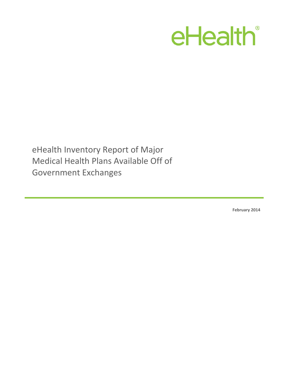## eHealth®

eHealth Inventory Report of Major Medical Health Plans Available Off of Government Exchanges

**February 2014**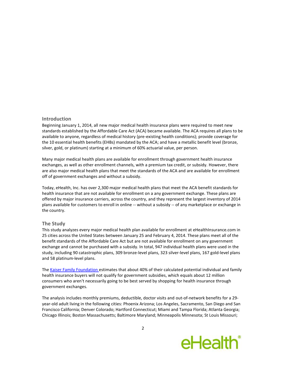## **Introduction**

Beginning January 1, 2014, all new major medical health insurance plans were required to meet new standards established by the Affordable Care Act (ACA) became available. The ACA requires all plans to be available to anyone, regardless of medical history (pre-existing health conditions); provide coverage for the 10 essential health benefits (EHBs) mandated by the ACA; and have a metallic benefit level (bronze, silver, gold, or platinum) starting at a minimum of 60% actuarial value, per person.

Many major medical health plans are available for enrollment through government health insurance exchanges, as well as other enrollment channels, with a premium tax credit, or subsidy. However, there are also major medical health plans that meet the standards of the ACA and are available for enrollment off of government exchanges and without a subsidy.

Today, eHealth, Inc. has over 2,300 major medical health plans that meet the ACA benefit standards for health insurance that are not available for enrollment on a any government exchange. These plans are offered by major insurance carriers, across the country, and they represent the largest inventory of 2014 plans available for customers to enroll in online -- without a subsidy -- of any marketplace or exchange in the country.

## **The Study**

This study analyzes every major medical health plan available for enrollment at eHealthInsurance.com in 25 cities across the United States between January 25 and February 4, 2014. These plans meet all of the benefit standards of the Affordable Care Act but are not available for enrollment on any government exchange and cannot be purchased with a subsidy. In total, 947 individual health plans were used in the study, including 90 catastrophic plans, 309 bronze-level plans, 323 silver-level plans, 167 gold-level plans and 58 platinum-level plans.

Th[e Kaiser Family Foundation e](http://kff.org/health-reform/issue-brief/state-by-state-estimates-of-the-number-of-people-eligible-for-premium-tax-credits-under-the-affordable-care-act/)stimates that about 40% of their calculated potential individual and family health insurance buyers will not qualify for government subsidies, which equals about 12 million consumers who aren't necessarily going to be best served by shopping for health insurance through government exchanges.

The analysis includes monthly premiums, deductible, doctor visits and out-of-network benefits for a 29 year-old adult living in the following cities: Phoenix Arizona; Los Angeles, Sacramento, San Diego and San Francisco California; Denver Colorado; Hartford Connecticut; Miami and Tampa Florida; Atlanta Georgia; Chicago Illinois; Boston Massachusetts; Baltimore Maryland; Minneapolis Minnesota; St Louis Missouri;

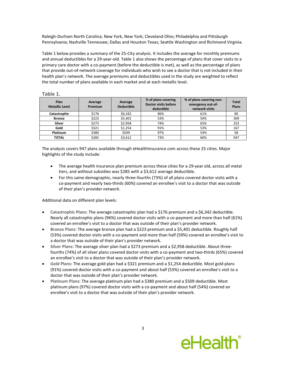Raleigh-Durham North Carolina; New York, New York; Cleveland Ohio; Philadelphia and Pittsburgh Pennsylvania; Nashville Tennessee; Dallas and Houston Texas; Seattle Washington and Richmond Virginia.

Table 1 below provides a summary of the 25-City analysis. It includes the average for monthly premiums and annual deductibles for a 29-year-old. Table 1 also shows the percentage of plans that cover visits to a primary care doctor with a co-payment (before the deductible is met), as well as the percentage of plans that provide out-of-network coverage for individuals who wish to see a doctor that is not included in their health plan's network. The average premiums and deductibles used in the study are weighted to reflect the total number of plans available in each market and at each metallic level.

| ۹<br>×<br>۰, |  |
|--------------|--|
|--------------|--|

| Plan<br><b>Metallic Level</b> | Average<br>Premium | Average<br><b>Deductible</b> | % of plans covering<br>Doctor visits before<br>deductible | % of plans covering non-<br>emergency out-of-<br>network visits | <b>Total</b><br><b>Plans</b> |
|-------------------------------|--------------------|------------------------------|-----------------------------------------------------------|-----------------------------------------------------------------|------------------------------|
| Catastrophic                  | \$176              | \$6,342                      | 96%                                                       | 61%                                                             | 90                           |
| <b>Bronze</b>                 | \$223              | \$5,401                      | 53%                                                       | 59%                                                             | 309                          |
| <b>Silver</b>                 | \$273              | \$2,958                      | 74%                                                       | 65%                                                             | 323                          |
| Gold                          | \$321              | \$1,254                      | 91%                                                       | 53%                                                             | 167                          |
| Platinum                      | \$380              | \$509                        | 97%                                                       | 54%                                                             | 58                           |
| <b>TOTAL</b>                  | \$285              | \$3,612                      | 73%                                                       | 60%                                                             | 947                          |

The analysis covers 947 plans available through eHealthInsurance.com across these 25 cities. Major highlights of the study include:

- The average health insurance plan premium across these cities for a 29-year old, across all metal tiers, and without subsidies was \$285 with a \$3,612 average deductible.
- For this same demographic, nearly three-fourths (73%) of all plans covered doctor visits with a co-payment and nearly two-thirds (60%) covered an enrollee's visit to a doctor that was outside of their plan's provider network.

Additional data on different plan levels:

- **Catastrophic Plans:** The average catastrophic plan had a \$176 premium and a \$6,342 deductible. Nearly all catastrophic plans (96%) covered doctor visits with a co-payment and more than half (61%) covered an enrollee's visit to a doctor that was outside of their plan's provider network.
- **Bronze Plans: The average bronze plan had a \$223 premium and a \$5,401 deductible. Roughly half 4.400 Fig. 2016** (53%) covered doctor visits with a co-payment and more than half (59%) covered an enrollee's visit to a doctor that was outside of their plan's provider network.
- **Silver Plans:** The average silver plan had a \$273 premium and a \$2,958 deductible. About threefourths (74%) of all silver plans covered doctor visits with a co-payment and two-thirds (65%) covered an enrollee's visit to a doctor that was outside of their plan's provider network.
- **Gold Plans:** The average gold plan had a \$321 premium and a \$1,254 deductible. Most gold plans (91%) covered doctor visits with a co-payment and about half (53%) covered an enrollee's visit to a doctor that was outside of their plan's provider network.
- **Platinum Plans:** The average platinum plan had a \$380 premium and a \$509 deductible. Most platinum plans (97%) covered doctor visits with a co-payment and about half (54%) covered an enrollee's visit to a doctor that was outside of their plan's provider network.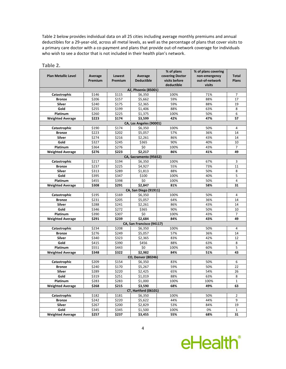Table 2 below provides individual data on all 25 cities including average monthly premiums and annual deductibles for a 29-year-old, across all metal levels, as well as the percentage of plans that cover visits to a primary care doctor with a co-payment and plans that provide out-of-network coverage for individuals who wish to see a doctor that is not included in their health plan's network.

| <b>Plan Metallic Level</b> | Average        | Lowest         | Average                          | % of plans<br>covering Doctor | % of plans covering<br>non-emergency | <b>Total</b>   |
|----------------------------|----------------|----------------|----------------------------------|-------------------------------|--------------------------------------|----------------|
|                            | Premium        | Premium        | <b>Deductible</b>                | visits before                 | out-of-network                       | <b>Plans</b>   |
|                            |                |                |                                  | deductible                    | visits                               |                |
|                            |                |                | AZ, Phoenix (85001)              |                               |                                      |                |
| Catastrophic               | \$146          | \$115          | \$6,350                          | 100%                          | 71%                                  | 7              |
| <b>Bronze</b>              | \$206          | \$157          | \$5,662                          | 59%                           | 88%                                  | 17             |
| Silver                     | \$240          | \$175          | \$2,365                          | 59%                           | 88%                                  | 19             |
| Gold                       | \$255          | \$199          | \$1,406                          | 88%                           | 63%                                  | 8              |
| Platinum                   | \$260          | \$225          | \$1,375                          | 100%                          | 50%                                  | 6              |
| <b>Weighted Average</b>    | \$223          | \$174          | \$3.599                          | 42%                           | 47%                                  | 57             |
|                            |                |                | CA, Los Angeles (90001)          |                               |                                      |                |
| Catastrophic               | \$190          | \$174          | \$6,350                          | 100%                          | 50%                                  | 4              |
| <b>Bronze</b>              | \$223          | \$202          | \$5,057                          | 57%                           | 36%                                  | 14             |
| Silver                     | \$274          | \$216          | \$2,261                          | 86%                           | 43%                                  | 14             |
| Gold                       | \$327          | \$245          | \$365                            | 90%                           | 40%                                  | 10             |
| Platinum                   | \$364          | \$276          | \$0                              | 100%                          | 43%                                  | $\overline{7}$ |
| <b>Weighted Average</b>    | \$276          | \$223          | \$2,217                          | 86%                           | 41%                                  | 49             |
|                            |                |                | CA, Sacramento (95652)           |                               |                                      |                |
| Catastrophic               | \$217          | \$194          | \$6,350                          | 100%                          | 67%                                  | 3              |
| <b>Bronze</b>              | \$237          | \$225          | \$4,927                          | 55%                           | 73%                                  | 11             |
| Silver                     | \$313          | \$289          | \$1,813                          | 88%                           | 50%                                  | 8              |
| Gold                       | \$395<br>\$455 | \$347          | \$100                            | 100%                          | 40%                                  | 5<br>4         |
| Platinum                   | \$308          | \$398<br>\$291 | \$0<br>\$2,847                   | 100%<br>81%                   | 50%<br>58%                           | 31             |
| <b>Weighted Average</b>    |                |                |                                  |                               |                                      |                |
| Catastrophic               | \$195          | \$169          | CA, San Diego (91911)<br>\$6,350 | 100%                          | 50%                                  | 4              |
| <b>Bronze</b>              | \$231          | \$205          | \$5,057                          | 64%                           | 36%                                  | 14             |
| Silver                     | \$288          | \$241          | \$2.261                          | 86%                           | 43%                                  | 14             |
| Gold                       | \$346          | \$272          | \$365                            | 90%                           | 50%                                  | 10             |
| Platinum                   | \$390          | \$307          | \$0                              | 100%                          | 43%                                  | $\overline{7}$ |
| <b>Weighted Average</b>    | \$291          | \$239          | \$2,684                          | 84%                           | 43%                                  | 49             |
|                            |                |                | CA, San Francisco (94117)        |                               |                                      |                |
| Catastrophic               | \$234          | \$208          | \$6,350                          | 100%                          | 50%                                  | 4              |
| <b>Bronze</b>              | \$276          | \$249          | \$5,057                          | 57%                           | 36%                                  | 14             |
| Silver                     | \$340          | \$323          | \$2,365                          | 83%                           | 42%                                  | 12             |
| Gold                       | \$415          | \$390          | \$456                            | 88%                           | 63%                                  | 8              |
| Platinum                   | \$551          | \$443          | \$0                              | 100%                          | 60%                                  | 5              |
| <b>Weighted Average</b>    | \$348          | \$322          | \$2.982                          | 84%                           | 51%                                  | 43             |
|                            |                |                | <b>CO, Denver (80246)</b>        |                               |                                      |                |
| Catastrophic               | \$209          | \$154          | \$6,350                          | 83%                           | 50%                                  | 6              |
| <b>Bronze</b>              | \$240          | \$170          | \$5,267                          | 59%                           | 50%                                  | 22             |
| Silver                     | \$289          | \$220          | \$2,425                          | 65%                           | 54%                                  | 26             |
| Gold                       | \$319          | \$251          | \$1,019                          | 88%                           | 63%                                  | 8              |
| Platinum                   | \$283          | \$283          | \$1,000                          | 100%                          | 100%                                 | $\mathbf{1}$   |
| <b>Weighted Average</b>    | \$268          | \$215          | \$3,590                          | 68%                           | 49%                                  | 63             |
|                            |                |                | <b>CT, Hartford (06101)</b>      |                               |                                      |                |
| Catastrophic               | \$182          | \$181          | \$6,350                          | 100%                          | 50%                                  | $\overline{2}$ |
| <b>Bronze</b>              | \$242          | \$220          | \$5,622                          | 44%                           | 44%                                  | 9              |
| <b>Silver</b>              | \$267          | \$200          | \$2,829                          | 53%                           | 84%                                  | 19             |
| Gold                       | \$345          | \$345          | \$1,500                          | 100%                          | 0%                                   | 1              |
| <b>Weighted Average</b>    | \$257          | \$237          | \$3,455                          | 55%                           | 68%                                  | 31             |

**Table 2.**

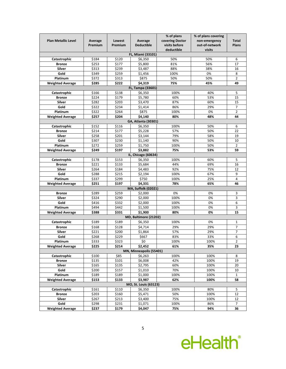|                            |                   |         |                         | % of plans      | % of plans covering |                |  |  |
|----------------------------|-------------------|---------|-------------------------|-----------------|---------------------|----------------|--|--|
| <b>Plan Metallic Level</b> | Average           | Lowest  | Average                 | covering Doctor | non-emergency       | <b>Total</b>   |  |  |
|                            | Premium           | Premium | <b>Deductible</b>       | visits before   | out-of-network      | <b>Plans</b>   |  |  |
|                            |                   |         |                         | deductible      | visits              |                |  |  |
|                            |                   |         | FL, Miami (33101)       |                 |                     |                |  |  |
| Catastrophic               | \$184             | \$120   | \$6,350                 | 50%             | 50%                 | 6              |  |  |
| <b>Bronze</b>              | \$253             | \$177   | \$5,800                 | 81%             | 56%                 | 17             |  |  |
| Silver                     | \$313             | \$239   | \$3,487                 | 88%             | 38%                 | 16             |  |  |
| Gold                       | \$349             | \$259   | \$1,456                 | 100%            | 0%                  | 8              |  |  |
| Platinum                   | \$372             | \$313   | \$875                   | 50%             | 50%                 | $\overline{2}$ |  |  |
| <b>Weighted Average</b>    | \$285             | \$222   | \$4,319                 | 75%             | 45%                 | 49             |  |  |
|                            | FL, Tampa (33601) |         |                         |                 |                     |                |  |  |
| Catastrophic               | \$166             | \$138   | \$6,350                 | 100%            | 40%                 | 5              |  |  |
| <b>Bronze</b>              | \$224             | \$179   | \$5,780                 | 60%             | 53%                 | 15             |  |  |
| Silver                     | \$282             | \$203   | \$3,470                 | 87%             | 60%                 | 15             |  |  |
| Gold                       | \$322             | \$234   | \$1,414                 | 86%             | 29%                 | 7              |  |  |
| Platinum                   | \$322             | \$264   | \$875                   | 100%            | 0%                  | $\overline{2}$ |  |  |
| <b>Weighted Average</b>    | \$257             | \$204   | \$4,140                 | 80%             | 48%                 | 44             |  |  |
|                            |                   |         | GA, Atlanta (30301)     |                 |                     |                |  |  |
| Catastrophic               | \$152             | \$116   | \$6,350                 | 100%            | 50%                 | 6              |  |  |
| <b>Bronze</b>              | \$214             | \$177   | \$5,228                 | 57%             | 50%                 | 22             |  |  |
| Silver                     | \$258             | \$201   | \$3,144                 | 79%             | 58%                 | 19             |  |  |
| Gold                       | \$307             | \$230   | \$1,140                 | 90%             | 50%                 | 10             |  |  |
| Platinum                   | \$272             | \$259   | \$1,750                 | 100%            | 50%                 | 2              |  |  |
| <b>Weighted Average</b>    | \$249             | \$197   | \$3,882                 | 75%             | 53%                 | 59             |  |  |
|                            |                   |         | IL, Chicago (60634)     |                 |                     |                |  |  |
| Catastrophic               | \$178             | \$153   | \$6,350                 | 100%            | 60%                 | 5              |  |  |
| <b>Bronze</b>              | \$221             | \$133   | \$5,684                 | 44%             | 69%                 | 16             |  |  |
| Silver                     | \$264             | \$184   | \$4,483                 | 92%             | 75%                 | 12             |  |  |
| Gold                       | \$288             | \$215   | \$2,194                 | 100%            | 67%                 | 9              |  |  |
| Platinum                   | \$337             | \$299   | \$750                   | 100%            | 25%                 | 4              |  |  |
| <b>Weighted Average</b>    | \$251             | \$197   | \$4,331                 | 78%             | 65%                 | 46             |  |  |
| MA, Suffolk (02021)        |                   |         |                         |                 |                     |                |  |  |
| <b>Bronze</b>              | \$289             | \$259   | \$2,000                 | 0%              | 0%                  | 3              |  |  |
| Silver                     | \$324             | \$290   | \$2,000                 | 100%            | 0%                  | 3              |  |  |
| Gold                       | \$416             | \$332   | \$2,000                 | 100%            | 0%                  | 6              |  |  |
| Platinum                   | \$494             | \$442   | \$1,500                 | 100%            | 0%                  | 3              |  |  |
| <b>Weighted Average</b>    | \$388             | \$331   | \$1,900                 | 80%             | 0%                  | 15             |  |  |
|                            |                   |         | MD, Baltimore (21202)   |                 |                     |                |  |  |
| Catastrophic               | \$189             | \$189   | \$6,350                 | 100%            | 0%                  | $\mathbf{1}$   |  |  |
| <b>Bronze</b>              | \$168             | \$128   | \$4,714                 | 29%             | 29%                 | 7              |  |  |
| Silver                     | \$221             | \$200   | \$1,864                 | 57%             | 29%                 | 7              |  |  |
| Gold                       | \$268             | \$229   | \$667                   | 83%             | 33%                 | 6              |  |  |
| <b>Platinum</b>            | \$333             | \$323   | \$0                     | 100%            | 100%                | $\overline{2}$ |  |  |
| <b>Weighted Average</b>    | \$225             | \$214   | \$2,452                 | 61%             | 35%                 | 23             |  |  |
|                            |                   |         | MN, Minneapolis (55401) |                 |                     |                |  |  |
| Catastrophic               | \$100             | \$85    | \$6,263                 | 100%            | 100%                | 8              |  |  |
| <b>Bronze</b>              | \$135             | \$101   | \$6,008                 | 42%             | 100%                | 19             |  |  |
| Silver                     | \$165             | \$135   | \$2,795                 | 60%             | 100%                | 20             |  |  |
| Gold                       | \$200             | \$157   | \$1,010                 | 70%             | 100%                | 10             |  |  |
| Platinum                   | \$189             | \$189   | \$1,000                 | 100%            | 100%                | $\mathbf{1}$   |  |  |
| <b>Weighted Average</b>    | \$153             | \$133   | \$3,987                 | 62%             | 100%                | 58             |  |  |
|                            |                   |         | MO, St. Louis (63123)   |                 |                     |                |  |  |
| Catastrophic               | \$161             | \$110   | \$6,350                 | 100%            | 80%                 | 5              |  |  |
| <b>Bronze</b>              | \$203             | \$160   | \$5,471                 | 50%             | 100%                | 12             |  |  |
| Silver                     | \$267             | \$213   | \$3,400                 | 75%             | 100%                | 12             |  |  |
| Gold                       | \$298             | \$231   | \$1,071                 | 100%            | 86%                 | $\overline{7}$ |  |  |
| <b>Weighted Average</b>    | \$237             | \$179   | \$4,047                 | 75%             | 94%                 | 36             |  |  |

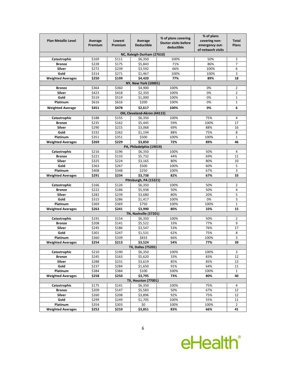| <b>Plan Metallic Level</b> | Average | Lowest         | Average                               | % of plans covering                       | % of plans<br>covering non- | <b>Total</b>   |
|----------------------------|---------|----------------|---------------------------------------|-------------------------------------------|-----------------------------|----------------|
|                            | Premium | Premium        | <b>Deductible</b>                     | <b>Doctor visits before</b><br>deductible | emergency out-              | <b>Plans</b>   |
|                            |         |                |                                       |                                           | of-network visits           |                |
|                            |         |                | NC, Raleigh-Durham (27610)            |                                           |                             |                |
| Catastrophic               | \$169   | \$111          | \$6,350                               | 100%                                      | 50%                         | 2              |
| <b>Bronze</b>              | \$228   | \$175          | \$5,843                               | 71%                                       | 86%                         | 7              |
| Silver                     | \$272   | \$239          | \$3,592                               | 66%                                       | 100%                        | 6              |
| Gold                       | \$314   | \$271          | \$1,467                               | 100%                                      | 100%                        | 3              |
| <b>Weighted Averages</b>   | \$250   | \$199          | \$4,420<br>NY, New York (10001)       | 77%                                       | 89%                         | 18             |
| <b>Bronze</b>              | \$364   | \$360          | \$4.900                               | 100%                                      | 0%                          | $\overline{2}$ |
| <b>Silver</b>              | \$423   | \$418          | \$2,350                               | 100%                                      | 0%                          | 2              |
| Gold                       | \$519   | \$519          | \$1,000                               | 100%                                      | 0%                          | $\mathbf{1}$   |
| Platinum                   | \$616   | \$616          | \$200                                 | 100%                                      | 0%                          | $\mathbf{1}$   |
|                            | \$451   | \$478          | \$2,617                               | 100%                                      | 0%                          | 6              |
| <b>Weighted Average</b>    |         |                | OH, Cleveland-Akron (44115)           |                                           |                             |                |
| Catastrophic               | \$188   | \$155          | \$6,350                               | 100%                                      | 75%                         | 4              |
| <b>Bronze</b>              | \$235   | \$162          | \$5,445                               | 59%                                       | 100%                        | 17             |
| Silver                     | \$290   | \$215          | \$3,068                               | 69%                                       | 88%                         | 16             |
| Gold                       | \$332   | \$262          | \$1,194                               | 88%                                       | 75%                         | 8              |
| Platinum                   | \$351   | \$351          | \$500                                 | 100%                                      | 100%                        | $\mathbf{1}$   |
| <b>Weighted Averages</b>   | \$269   | \$229          | \$3,850                               | 72%                                       | 89%                         | 46             |
|                            |         |                | PA, Philadelphia (19019)              |                                           |                             |                |
| Catastrophic               | \$216   | \$196          | \$6,350                               | 100%                                      | 50%                         | 4              |
| <b>Bronze</b>              | \$221   | \$133          | \$5,732                               | 44%                                       | 69%                         | 11             |
| Silver                     | \$325   | \$224          | \$3,165                               | 80%                                       | 80%                         | 10             |
| Gold                       | \$363   | \$267          | \$500                                 | 100%                                      | 60%                         | 5              |
| Platinum                   | \$408   | \$348          | \$250                                 | 100%                                      | 67%                         | 3              |
| <b>Weighted Averages</b>   | \$291   | \$234          | \$3,738                               | 82%                                       | 67%                         | 33             |
|                            |         |                | Pittsburgh, PA (15221)                |                                           |                             |                |
| Catastrophic               | \$166   | \$126          | \$6,350                               | 100%                                      | 50%                         | 2              |
| <b>Bronze</b>              | \$222   | \$186          | \$5,938                               | 50%                                       | 50%                         | 4              |
| Silver                     | \$282   | \$239          | \$3,680                               | 80%                                       | 20%                         | 5              |
| Gold                       | \$315   | \$286          | \$1,417                               | 100%                                      | 0%                          | 3              |
| Platinum                   | \$369   | \$369          | \$750                                 | 100%                                      | 100%                        | 1              |
| <b>Weighted Averages</b>   | \$263   | \$241          | \$3,990                               | 80%                                       | 33%                         | 15             |
|                            |         |                | TN, Nashville (37201)                 |                                           |                             |                |
| Catastrophic               | \$191   | \$154          | \$6,350                               | 100%                                      | 50%                         | 2              |
| <b>Bronze</b>              | \$208   | \$141          | \$5,522                               | 33%                                       | 77%                         | 9              |
| Silver                     | \$245   | \$186          | \$3,547                               | 53%                                       | 76%                         | 17             |
| Gold                       | \$301   | \$247          | \$1,531                               | 62%                                       | 75%                         | 8              |
| Platinum                   | \$360   | \$339          | \$833                                 | 66%                                       | 100%                        | 3              |
| <b>Weighted Averages</b>   | \$254   | \$213          | \$3,524                               | 54%                                       | 77%                         | 39             |
|                            |         |                | <b>TX, Dallas (75201)</b>             |                                           |                             |                |
| Catastrophic               | \$210   | \$190          | \$6,350                               | 100%                                      | 100%                        | 3              |
| <b>Bronze</b>              | \$245   | \$163          | \$5,620                               | 33%                                       | 83%                         | 12             |
| Silver                     | \$288   | \$231          | \$3,619                               | 85%                                       | 85%                         | 13             |
| Gold                       | \$237   | \$284          | \$1,650                               | 91%                                       | 64%                         | 11             |
| Platinum                   | \$384   | \$384          | \$100                                 | 100%                                      | 100%                        | 1              |
| <b>Weighted Averages</b>   | \$258   | \$250          | \$3,795<br><b>TX, Houston (77001)</b> | 73%                                       | 80%                         | 40             |
| Catastrophic               | \$175   |                |                                       |                                           |                             | 4              |
| <b>Bronze</b>              | \$209   | \$141<br>\$147 | \$6,350<br>\$5,583                    | 100%<br>50%                               | 75%<br>67%                  | 12             |
| Silver                     | \$260   | \$208          | \$3,896                               | 92%                                       | 75%                         | 12             |
| Gold                       | \$299   | \$249          | \$1,705                               | 100%                                      | 55%                         | 11             |
| Platinum                   | \$354   | \$303          | \$0                                   | 100%                                      | 100%                        | $\overline{2}$ |
| <b>Weighted Averages</b>   | \$252   | \$210          | \$3,851                               | 83%                                       | 66%                         | 41             |
|                            |         |                |                                       |                                           |                             |                |